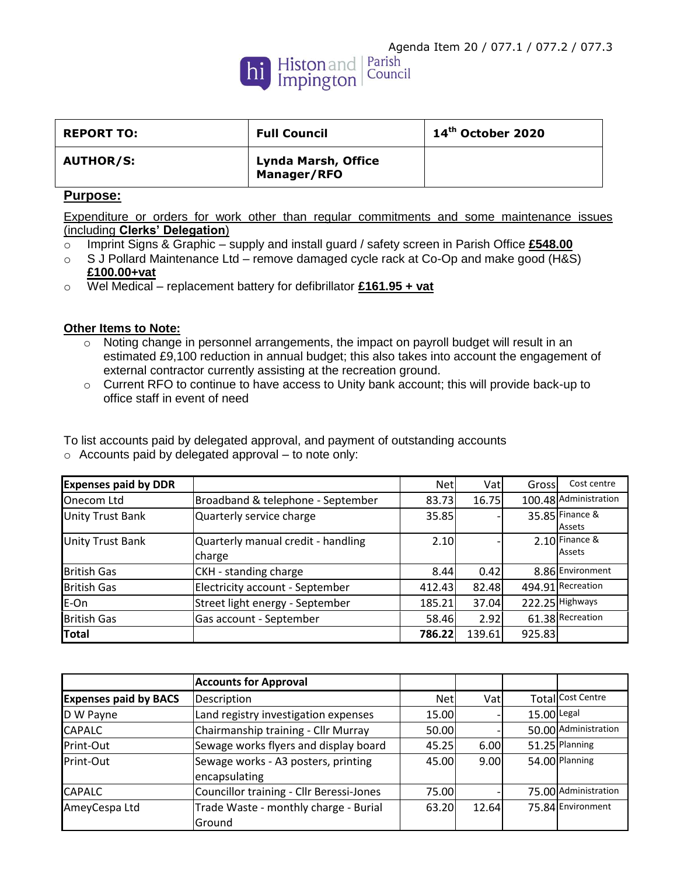

| <b>REPORT TO:</b> | <b>Full Council</b>                | 14 <sup>th</sup> October 2020 |
|-------------------|------------------------------------|-------------------------------|
| <b>AUTHOR/S:</b>  | Lynda Marsh, Office<br>Manager/RFO |                               |

## **Purpose:**

Expenditure or orders for work other than regular commitments and some maintenance issues (including **Clerks' Delegation**)

- o Imprint Signs & Graphic supply and install guard / safety screen in Parish Office **£548.00**
- o S J Pollard Maintenance Ltd remove damaged cycle rack at Co-Op and make good (H&S) **£100.00+vat**
- o Wel Medical replacement battery for defibrillator **£161.95 + vat**

## **Other Items to Note:**

- o Noting change in personnel arrangements, the impact on payroll budget will result in an estimated £9,100 reduction in annual budget; this also takes into account the engagement of external contractor currently assisting at the recreation ground.
- o Current RFO to continue to have access to Unity bank account; this will provide back-up to office staff in event of need

| <b>Expenses paid by DDR</b> |                                              | <b>Net</b> | Vat    | Gross  | Cost centre                       |
|-----------------------------|----------------------------------------------|------------|--------|--------|-----------------------------------|
| Onecom Ltd                  | Broadband & telephone - September            | 83.73      | 16.75  |        | 100.48 Administration             |
| <b>Unity Trust Bank</b>     | Quarterly service charge                     | 35.85      |        |        | 35.85 Finance &<br>Assets         |
| <b>Unity Trust Bank</b>     | Quarterly manual credit - handling<br>charge | 2.10       |        |        | $2.10$ Finance &<br><b>Assets</b> |
| <b>British Gas</b>          | CKH - standing charge                        | 8.44       | 0.42   |        | 8.86 Environment                  |
| <b>British Gas</b>          | Electricity account - September              | 412.43     | 82.48  |        | 494.91 Recreation                 |
| E-On                        | Street light energy - September              | 185.21     | 37.04  |        | 222.25 Highways                   |
| <b>British Gas</b>          | Gas account - September                      | 58.46      | 2.92   |        | 61.38 Recreation                  |
| Total                       |                                              | 786.22     | 139.61 | 925.83 |                                   |

| To list accounts paid by delegated approval, and payment of outstanding accounts |
|----------------------------------------------------------------------------------|
| $\circ$ Accounts paid by delegated approval – to note only:                      |

|                              | <b>Accounts for Approval</b>             |            |       |               |                      |
|------------------------------|------------------------------------------|------------|-------|---------------|----------------------|
| <b>Expenses paid by BACS</b> | Description                              | <b>Net</b> | Vatl  |               | Total Cost Centre    |
| D W Payne                    | Land registry investigation expenses     | 15.00      |       | $15.00$ Legal |                      |
| <b>CAPALC</b>                | Chairmanship training - Cllr Murray      | 50.00      |       |               | 50.00 Administration |
| Print-Out                    | Sewage works flyers and display board    | 45.25      | 6.00  |               | 51.25 Planning       |
| Print-Out                    | Sewage works - A3 posters, printing      | 45.00      | 9.00  |               | 54.00 Planning       |
|                              | encapsulating                            |            |       |               |                      |
| <b>CAPALC</b>                | Councillor training - Cllr Beressi-Jones | 75.00      |       |               | 75.00 Administration |
| AmeyCespa Ltd                | Trade Waste - monthly charge - Burial    | 63.20      | 12.64 |               | 75.84 Environment    |
|                              | lGround                                  |            |       |               |                      |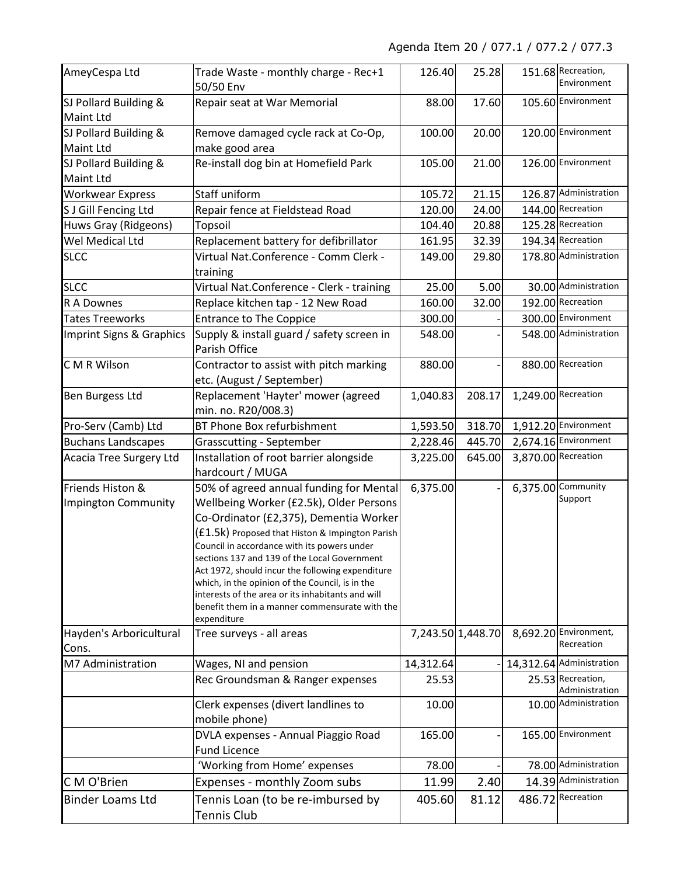## Agenda Item 20 / 077.1 / 077.2 / 077.3

| AmeyCespa Ltd                                                                                      | Trade Waste - monthly charge - Rec+1<br>50/50 Env                                                                                                                                                                                                                                                                                                                                                                                                                                                             | 126.40            | 25.28  |                     | 151.68 Recreation,<br>Environment   |
|----------------------------------------------------------------------------------------------------|---------------------------------------------------------------------------------------------------------------------------------------------------------------------------------------------------------------------------------------------------------------------------------------------------------------------------------------------------------------------------------------------------------------------------------------------------------------------------------------------------------------|-------------------|--------|---------------------|-------------------------------------|
| SJ Pollard Building &<br><b>Maint Ltd</b>                                                          | Repair seat at War Memorial                                                                                                                                                                                                                                                                                                                                                                                                                                                                                   |                   | 17.60  |                     | 105.60 Environment                  |
| SJ Pollard Building &<br>Remove damaged cycle rack at Co-Op,<br>make good area<br><b>Maint Ltd</b> |                                                                                                                                                                                                                                                                                                                                                                                                                                                                                                               | 100.00            | 20.00  |                     | 120.00 Environment                  |
| SJ Pollard Building &<br>Maint Ltd                                                                 | Re-install dog bin at Homefield Park                                                                                                                                                                                                                                                                                                                                                                                                                                                                          | 105.00            | 21.00  |                     | 126.00 Environment                  |
| <b>Workwear Express</b>                                                                            | Staff uniform                                                                                                                                                                                                                                                                                                                                                                                                                                                                                                 | 105.72            | 21.15  |                     | 126.87 Administration               |
| S J Gill Fencing Ltd                                                                               | Repair fence at Fieldstead Road                                                                                                                                                                                                                                                                                                                                                                                                                                                                               | 120.00            | 24.00  |                     | 144.00 Recreation                   |
| Huws Gray (Ridgeons)                                                                               | <b>Topsoil</b>                                                                                                                                                                                                                                                                                                                                                                                                                                                                                                | 104.40            | 20.88  |                     | 125.28 Recreation                   |
| Wel Medical Ltd                                                                                    | Replacement battery for defibrillator                                                                                                                                                                                                                                                                                                                                                                                                                                                                         | 161.95            | 32.39  |                     | 194.34 Recreation                   |
| <b>SLCC</b>                                                                                        | Virtual Nat.Conference - Comm Clerk -<br>training                                                                                                                                                                                                                                                                                                                                                                                                                                                             | 149.00            | 29.80  |                     | 178.80 Administration               |
| <b>SLCC</b>                                                                                        | Virtual Nat.Conference - Clerk - training                                                                                                                                                                                                                                                                                                                                                                                                                                                                     | 25.00             | 5.00   |                     | 30.00 Administration                |
| R A Downes                                                                                         | Replace kitchen tap - 12 New Road                                                                                                                                                                                                                                                                                                                                                                                                                                                                             | 160.00            | 32.00  |                     | 192.00 Recreation                   |
| <b>Tates Treeworks</b>                                                                             | <b>Entrance to The Coppice</b>                                                                                                                                                                                                                                                                                                                                                                                                                                                                                | 300.00            |        |                     | 300.00 Environment                  |
| Imprint Signs & Graphics                                                                           | Supply & install guard / safety screen in<br>Parish Office                                                                                                                                                                                                                                                                                                                                                                                                                                                    | 548.00            |        |                     | 548.00 Administration               |
| C M R Wilson                                                                                       | Contractor to assist with pitch marking<br>etc. (August / September)                                                                                                                                                                                                                                                                                                                                                                                                                                          | 880.00            |        |                     | 880.00 Recreation                   |
| Ben Burgess Ltd                                                                                    | Replacement 'Hayter' mower (agreed<br>min. no. R20/008.3)                                                                                                                                                                                                                                                                                                                                                                                                                                                     | 1,040.83          | 208.17 |                     | 1,249.00 Recreation                 |
| Pro-Serv (Camb) Ltd                                                                                | BT Phone Box refurbishment                                                                                                                                                                                                                                                                                                                                                                                                                                                                                    | 1,593.50          | 318.70 |                     | 1,912.20 Environment                |
| <b>Buchans Landscapes</b>                                                                          | <b>Grasscutting - September</b>                                                                                                                                                                                                                                                                                                                                                                                                                                                                               | 2,228.46          | 445.70 |                     | 2,674.16 Environment                |
| Acacia Tree Surgery Ltd                                                                            | Installation of root barrier alongside<br>hardcourt / MUGA                                                                                                                                                                                                                                                                                                                                                                                                                                                    | 3,225.00          | 645.00 | 3,870.00 Recreation |                                     |
| Friends Histon &<br><b>Impington Community</b>                                                     | 50% of agreed annual funding for Mental<br>Wellbeing Worker (£2.5k), Older Persons<br>Co-Ordinator (£2,375), Dementia Worker<br>$(f1.5k)$ Proposed that Histon & Impington Parish<br>Council in accordance with its powers under<br>sections 137 and 139 of the Local Government<br>Act 1972, should incur the following expenditure<br>which, in the opinion of the Council, is in the<br>interests of the area or its inhabitants and will<br>benefit them in a manner commensurate with the<br>expenditure | 6,375.00          |        |                     | 6,375.00 Community<br>Support       |
| Hayden's Arboricultural<br>Cons.                                                                   | Tree surveys - all areas                                                                                                                                                                                                                                                                                                                                                                                                                                                                                      | 7,243.50 1,448.70 |        |                     | 8,692.20 Environment,<br>Recreation |
| M7 Administration                                                                                  | Wages, NI and pension                                                                                                                                                                                                                                                                                                                                                                                                                                                                                         | 14,312.64         |        |                     | 14,312.64 Administration            |
|                                                                                                    | Rec Groundsman & Ranger expenses                                                                                                                                                                                                                                                                                                                                                                                                                                                                              | 25.53             |        |                     | 25.53 Recreation,<br>Administration |
|                                                                                                    | Clerk expenses (divert landlines to<br>mobile phone)                                                                                                                                                                                                                                                                                                                                                                                                                                                          | 10.00             |        |                     | 10.00 Administration                |
|                                                                                                    | DVLA expenses - Annual Piaggio Road<br><b>Fund Licence</b>                                                                                                                                                                                                                                                                                                                                                                                                                                                    | 165.00            |        |                     | 165.00 Environment                  |
|                                                                                                    | 'Working from Home' expenses                                                                                                                                                                                                                                                                                                                                                                                                                                                                                  | 78.00             |        |                     | 78.00 Administration                |
| C M O'Brien                                                                                        | Expenses - monthly Zoom subs                                                                                                                                                                                                                                                                                                                                                                                                                                                                                  | 11.99             | 2.40   |                     | 14.39 Administration                |
| <b>Binder Loams Ltd</b>                                                                            | Tennis Loan (to be re-imbursed by<br>Tennis Club                                                                                                                                                                                                                                                                                                                                                                                                                                                              | 405.60            | 81.12  |                     | 486.72 Recreation                   |